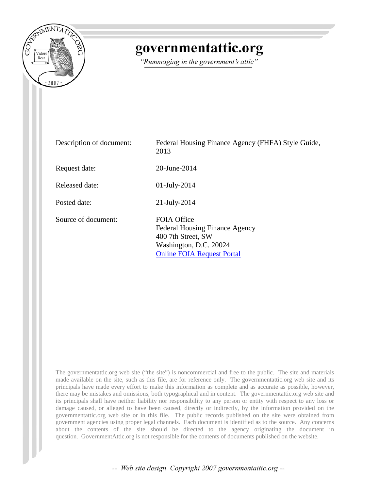

# governmentattic.org

"Rummaging in the government's attic"

| Description of document: | Federal Housing Finance Agency (FHFA) Style Guide,<br>2013                                                                                       |
|--------------------------|--------------------------------------------------------------------------------------------------------------------------------------------------|
| Request date:            | 20-June-2014                                                                                                                                     |
| Released date:           | $01$ -July-2014                                                                                                                                  |
| Posted date:             | $21$ -July-2014                                                                                                                                  |
| Source of document:      | <b>FOIA Office</b><br><b>Federal Housing Finance Agency</b><br>400 7th Street, SW<br>Washington, D.C. 20024<br><b>Online FOIA Request Portal</b> |

The governmentattic.org web site ("the site") is noncommercial and free to the public. The site and materials made available on the site, such as this file, are for reference only. The governmentattic.org web site and its principals have made every effort to make this information as complete and as accurate as possible, however, there may be mistakes and omissions, both typographical and in content. The governmentattic.org web site and its principals shall have neither liability nor responsibility to any person or entity with respect to any loss or damage caused, or alleged to have been caused, directly or indirectly, by the information provided on the governmentattic.org web site or in this file. The public records published on the site were obtained from government agencies using proper legal channels. Each document is identified as to the source. Any concerns about the contents of the site should be directed to the agency originating the document in question. GovernmentAttic.org is not responsible for the contents of documents published on the website.

-- Web site design Copyright 2007 governmentattic.org --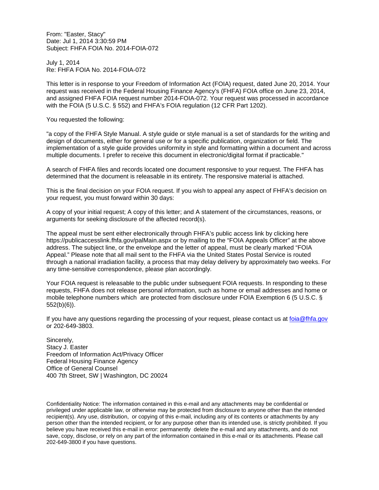From: "Easter, Stacy" Date: Jul 1, 2014 3:30:59 PM Subject: FHFA FOIA No. 2014-FOIA-072

July 1, 2014 Re: FHFA FOIA No. 2014-FOIA-072

This letter is in response to your Freedom of Information Act (FOIA) request, dated June 20, 2014. Your request was received in the Federal Housing Finance Agency's (FHFA) FOIA office on June 23, 2014, and assigned FHFA FOIA request number 2014-FOIA-072. Your request was processed in accordance with the FOIA (5 U.S.C. § 552) and FHFA's FOIA regulation (12 CFR Part 1202).

You requested the following:

"a copy of the FHFA Style Manual. A style guide or style manual is a set of standards for the writing and design of documents, either for general use or for a specific publication, organization or field. The implementation of a style guide provides uniformity in style and formatting within a document and across multiple documents. I prefer to receive this document in electronic/digital format if practicable."

A search of FHFA files and records located one document responsive to your request. The FHFA has determined that the document is releasable in its entirety. The responsive material is attached.

This is the final decision on your FOIA request. If you wish to appeal any aspect of FHFA's decision on your request, you must forward within 30 days:

A copy of your initial request; A copy of this letter; and A statement of the circumstances, reasons, or arguments for seeking disclosure of the affected record(s).

The appeal must be sent either electronically through FHFA's public access link by clicking here https://publicaccesslink.fhfa.gov/palMain.aspx or by mailing to the "FOIA Appeals Officer" at the above address. The subject line, or the envelope and the letter of appeal, must be clearly marked "FOIA Appeal." Please note that all mail sent to the FHFA via the United States Postal Service is routed through a national irradiation facility, a process that may delay delivery by approximately two weeks. For any time-sensitive correspondence, please plan accordingly.

Your FOIA request is releasable to the public under subsequent FOIA requests. In responding to these requests, FHFA does not release personal information, such as home or email addresses and home or mobile telephone numbers which are protected from disclosure under FOIA Exemption 6 (5 U.S.C. § 552(b)(6)).

If you have any questions regarding the processing of your request, please contact us at [foia@fhfa.gov](mailto:foia@fhfa.gov) or 202-649-3803.

Sincerely, Stacy J. Easter Freedom of Information Act/Privacy Officer Federal Housing Finance Agency Office of General Counsel 400 7th Street, SW | Washington, DC 20024

Confidentiality Notice: The information contained in this e-mail and any attachments may be confidential or privileged under applicable law, or otherwise may be protected from disclosure to anyone other than the intended recipient(s). Any use, distribution, or copying of this e-mail, including any of its contents or attachments by any person other than the intended recipient, or for any purpose other than its intended use, is strictly prohibited. If you believe you have received this e-mail in error: permanently delete the e-mail and any attachments, and do not save, copy, disclose, or rely on any part of the information contained in this e-mail or its attachments. Please call 202-649-3800 if you have questions.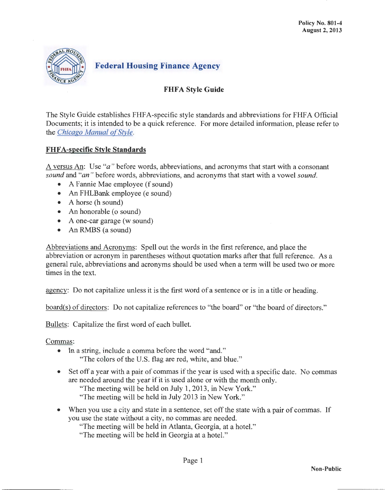

## **FHFA Style Guide**

The Style Guide establishes FHF A-specific style standards and abbreviations for FHF A Official Documents; it is intended to be a quick reference. For more detailed information, please refer to the *Chicago Manual of Style*.

### FHFA-specific Style Standards

A versus An: Use " $a$ " before words, abbreviations, and acronyms that start with a consonant *sound* and *"an "* before words, abbreviations, and acronyms that start with a vowel *sound.* 

- A Fannie Mae employee (f sound)
- An FHLBank employee (e sound)
- A horse (h sound)
- An honorable ( $o$  sound)
- A one-car garage (w sound)
- An RMBS (a sound)

Abbreviations and Acronyms: Spell out the words in the first reference, and place the abbreviation or acronym in parentheses without quotation marks after that full reference. As a general rule, abbreviations and acronyms should be used when a term will be used two or more times in the text.

agency: Do not capitalize unless it is the first word of a sentence or is in a title or heading.

board(s) of directors: Do not capitalize references to "the board" or "the board of directors."

Bullets: Capitalize the first word of each bullet.

Commas:

- In a string, include a comma before the word "and."
	- "The colors of the U.S. flag are red, white, and blue."
- Set off a year with a pair of commas ifthe year is used with a specific date. No commas are needed around the year if it is used alone or with the month only.

"The meeting will be held on July 1, 2013, in New York."

"The meeting will be held in July 2013 in New York."

• When you use a city and state in a sentence, set off the state with a pair of commas. If you use the state without a city, no commas are needed.

"The meeting will be held in Atlanta, Georgia, at a hotel."

"The meeting will be held in Georgia at a hotel."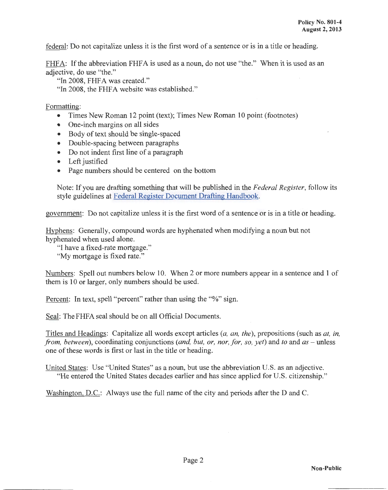federal: Do not capitalize unless it is the first word of a sentence or is in a title or heading.

FHFA: If the abbreviation FHFA is used as a noun, do not use "the." When it is used as an adjective, do use "the."

"In 2008, FHFA was created."

"In 2008, the FHFA website was established."

#### Formatting:

- Times New Roman 12 point (text); Times New Roman 10 point (footnotes)
- One-inch margins on all sides
- Body of text should be single-spaced
- Double-spacing between paragraphs
- Do not indent first line of a paragraph
- Left justified
- Page numbers should be centered on the bottom

Note: If you are drafting something that will be published in the *Federal Register,* follow its style guidelines at [Federal Register Document Drafting Handbook.](http://www.archives.gov/federal-register/write/handbook/)

government: Do not capitalize unless it is the first word of a sentence or is in a title or heading.

Hyphens: Generally, compound words are hyphenated when modifying a noun but not hyphenated when used alone.

"I have a fixed-rate mortgage."

"My mortgage is fixed rate."

Numbers: Spell out numbers below 10. When 2 or more numbers appear in a sentence and 1 of them is 10 or larger, only numbers should be used.

Percent: In text, spell "percent" rather than using the "%" sign.

Seal: The FHFA seal should be on all Official Documents.

Titles and Headings: Capitalize all words except articles *(a, an, the),* prepositions (such as *at, in, from, between),* coordinating conjunctions *(and, but, or, nor, for, so, yet)* and *to* and *as* - unless one of these words is first or last in the title or heading.

United States: Use "United States" as a noun, but use the abbreviation U.S. as an adjective. "He entered the United States decades earlier and has since applied for U.S. citizenship."

Washington, D.C.: Always use the full name of the city and periods after the D and C.